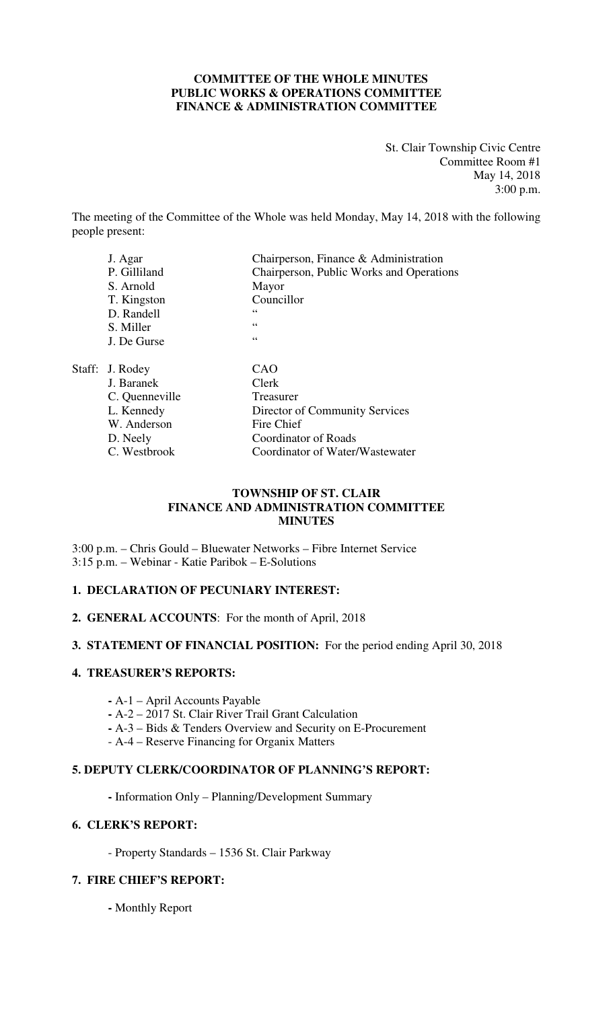#### **COMMITTEE OF THE WHOLE MINUTES PUBLIC WORKS & OPERATIONS COMMITTEE FINANCE & ADMINISTRATION COMMITTEE**

St. Clair Township Civic Centre Committee Room #1 May 14, 2018 3:00 p.m.

The meeting of the Committee of the Whole was held Monday, May 14, 2018 with the following people present:

| J. Agar         | Chairperson, Finance & Administration    |
|-----------------|------------------------------------------|
| P. Gilliland    | Chairperson, Public Works and Operations |
| S. Arnold       | Mayor                                    |
| T. Kingston     | Councillor                               |
| D. Randell      | 66                                       |
| S. Miller       | 66                                       |
| J. De Gurse     | 66                                       |
| Staff: J. Rodey | CAO                                      |
| J. Baranek      | Clerk                                    |
| C. Quenneville  | Treasurer                                |
| L. Kennedy      | Director of Community Services           |
| W. Anderson     | Fire Chief                               |
| D. Neely        | <b>Coordinator of Roads</b>              |
| C. Westbrook    | Coordinator of Water/Wastewater          |

#### **TOWNSHIP OF ST. CLAIR FINANCE AND ADMINISTRATION COMMITTEE MINUTES**

3:00 p.m. – Chris Gould – Bluewater Networks – Fibre Internet Service 3:15 p.m. – Webinar - Katie Paribok – E-Solutions

#### **1. DECLARATION OF PECUNIARY INTEREST:**

**2. GENERAL ACCOUNTS**: For the month of April, 2018

#### **3. STATEMENT OF FINANCIAL POSITION:** For the period ending April 30, 2018

#### **4. TREASURER'S REPORTS:**

- **-** A-1 April Accounts Payable
- **-** A-2 2017 St. Clair River Trail Grant Calculation
- **-** A-3 Bids & Tenders Overview and Security on E-Procurement
- A-4 Reserve Financing for Organix Matters

#### **5. DEPUTY CLERK/COORDINATOR OF PLANNING'S REPORT:**

**-** Information Only – Planning/Development Summary

#### **6. CLERK'S REPORT:**

- Property Standards – 1536 St. Clair Parkway

#### **7. FIRE CHIEF'S REPORT:**

 **-** Monthly Report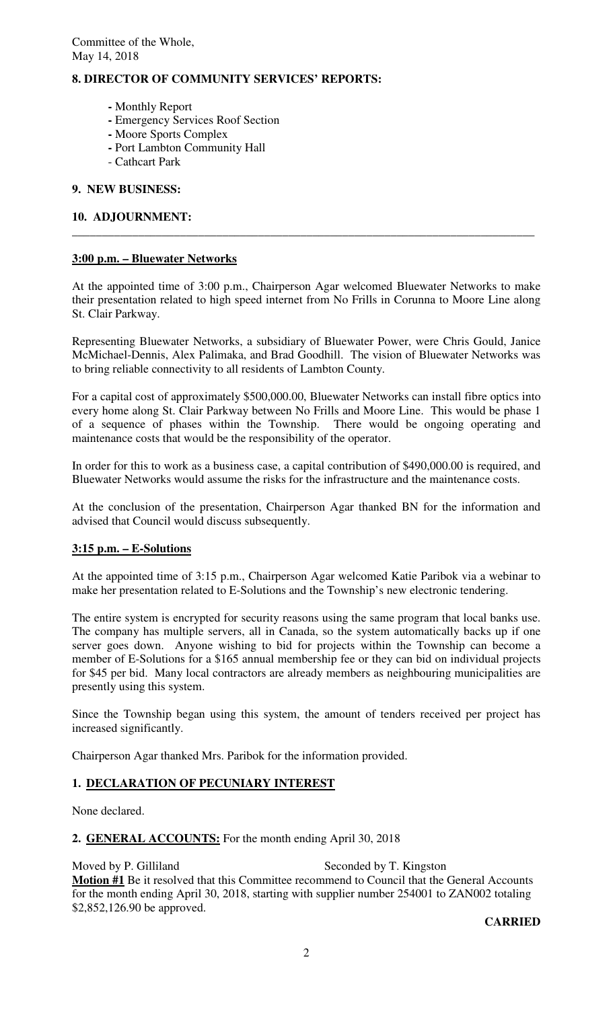### **8. DIRECTOR OF COMMUNITY SERVICES' REPORTS:**

- **-** Monthly Report
- **-** Emergency Services Roof Section
- **-** Moore Sports Complex
- **-** Port Lambton Community Hall
- Cathcart Park

#### **9. NEW BUSINESS:**

#### **10. ADJOURNMENT:**

#### **3:00 p.m. – Bluewater Networks**

At the appointed time of 3:00 p.m., Chairperson Agar welcomed Bluewater Networks to make their presentation related to high speed internet from No Frills in Corunna to Moore Line along St. Clair Parkway.

**\_\_\_\_\_\_\_\_\_\_\_\_\_\_\_\_\_\_\_\_\_\_\_\_\_\_\_\_\_\_\_\_\_\_\_\_\_\_\_\_\_\_\_\_\_\_\_\_\_\_\_\_\_\_\_\_\_\_\_\_\_\_\_\_\_\_\_\_\_\_\_\_\_\_\_\_\_** 

Representing Bluewater Networks, a subsidiary of Bluewater Power, were Chris Gould, Janice McMichael-Dennis, Alex Palimaka, and Brad Goodhill. The vision of Bluewater Networks was to bring reliable connectivity to all residents of Lambton County.

For a capital cost of approximately \$500,000.00, Bluewater Networks can install fibre optics into every home along St. Clair Parkway between No Frills and Moore Line. This would be phase 1 of a sequence of phases within the Township. There would be ongoing operating and maintenance costs that would be the responsibility of the operator.

In order for this to work as a business case, a capital contribution of \$490,000.00 is required, and Bluewater Networks would assume the risks for the infrastructure and the maintenance costs.

At the conclusion of the presentation, Chairperson Agar thanked BN for the information and advised that Council would discuss subsequently.

#### **3:15 p.m. – E-Solutions**

At the appointed time of 3:15 p.m., Chairperson Agar welcomed Katie Paribok via a webinar to make her presentation related to E-Solutions and the Township's new electronic tendering.

The entire system is encrypted for security reasons using the same program that local banks use. The company has multiple servers, all in Canada, so the system automatically backs up if one server goes down. Anyone wishing to bid for projects within the Township can become a member of E-Solutions for a \$165 annual membership fee or they can bid on individual projects for \$45 per bid. Many local contractors are already members as neighbouring municipalities are presently using this system.

Since the Township began using this system, the amount of tenders received per project has increased significantly.

Chairperson Agar thanked Mrs. Paribok for the information provided.

### **1. DECLARATION OF PECUNIARY INTEREST**

None declared.

### **2. GENERAL ACCOUNTS:** For the month ending April 30, 2018

Moved by P. Gilliland Seconded by T. Kingston **Motion #1** Be it resolved that this Committee recommend to Council that the General Accounts for the month ending April 30, 2018, starting with supplier number 254001 to ZAN002 totaling \$2,852,126.90 be approved.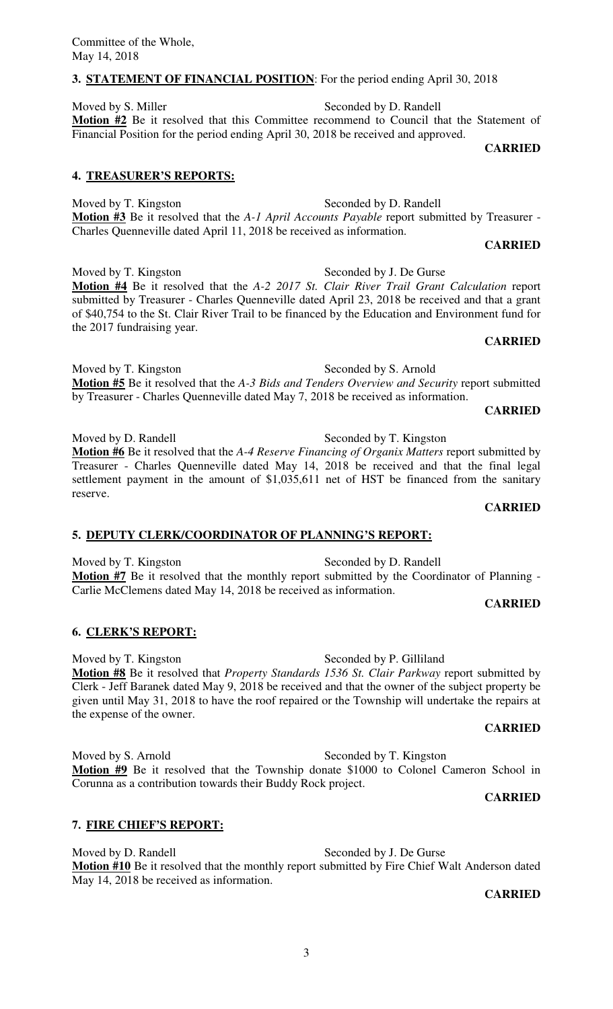#### **3. STATEMENT OF FINANCIAL POSITION**: For the period ending April 30, 2018

Moved by S. Miller Seconded by D. Randell **Motion #2** Be it resolved that this Committee recommend to Council that the Statement of Financial Position for the period ending April 30, 2018 be received and approved.

**CARRIED** 

#### **4. TREASURER'S REPORTS:**

Moved by T. Kingston Seconded by D. Randell **Motion #3** Be it resolved that the *A-1 April Accounts Payable* report submitted by Treasurer - Charles Quenneville dated April 11, 2018 be received as information.

**CARRIED** 

Moved by T. Kingston Seconded by J. De Gurse **Motion #4** Be it resolved that the *A-2 2017 St. Clair River Trail Grant Calculation* report submitted by Treasurer - Charles Quenneville dated April 23, 2018 be received and that a grant of \$40,754 to the St. Clair River Trail to be financed by the Education and Environment fund for the 2017 fundraising year. **CARRIED** 

Moved by T. Kingston Seconded by S. Arnold **Motion #5** Be it resolved that the *A-3 Bids and Tenders Overview and Security* report submitted by Treasurer - Charles Quenneville dated May 7, 2018 be received as information.

**CARRIED** 

**CARRIED** 

Moved by D. Randell Seconded by T. Kingston **Motion #6** Be it resolved that the *A-4 Reserve Financing of Organix Matters* report submitted by Treasurer - Charles Quenneville dated May 14, 2018 be received and that the final legal settlement payment in the amount of \$1,035,611 net of HST be financed from the sanitary reserve.

### **5. DEPUTY CLERK/COORDINATOR OF PLANNING'S REPORT:**

Moved by T. Kingston Seconded by D. Randell **Motion #7** Be it resolved that the monthly report submitted by the Coordinator of Planning - Carlie McClemens dated May 14, 2018 be received as information.

#### **6. CLERK'S REPORT:**

Moved by T. Kingston Seconded by P. Gilliland **Motion #8** Be it resolved that *Property Standards 1536 St. Clair Parkway* report submitted by Clerk - Jeff Baranek dated May 9, 2018 be received and that the owner of the subject property be given until May 31, 2018 to have the roof repaired or the Township will undertake the repairs at the expense of the owner.

#### **CARRIED**

Moved by S. Arnold Seconded by T. Kingston **Motion #9** Be it resolved that the Township donate \$1000 to Colonel Cameron School in Corunna as a contribution towards their Buddy Rock project.

### **7. FIRE CHIEF'S REPORT:**

Moved by D. Randell Seconded by J. De Gurse **Motion #10** Be it resolved that the monthly report submitted by Fire Chief Walt Anderson dated May 14, 2018 be received as information.

**CARRIED** 

**CARRIED**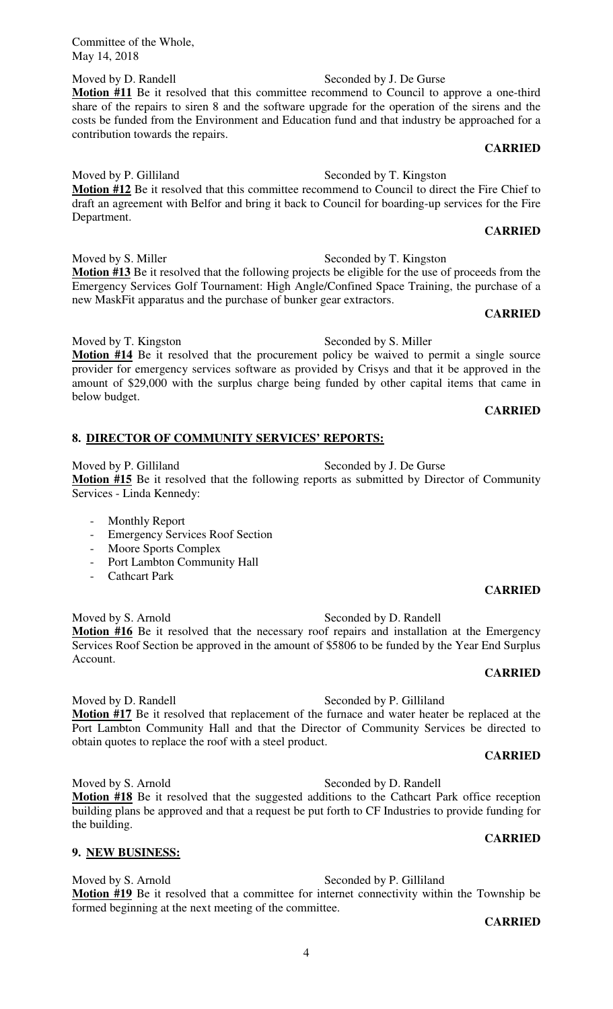Moved by D. Randell Seconded by J. De Gurse **Motion #11** Be it resolved that this committee recommend to Council to approve a one-third share of the repairs to siren 8 and the software upgrade for the operation of the sirens and the costs be funded from the Environment and Education fund and that industry be approached for a contribution towards the repairs.

#### **CARRIED**

**CARRIED** 

Moved by P. Gilliland Seconded by T. Kingston **Motion #12** Be it resolved that this committee recommend to Council to direct the Fire Chief to draft an agreement with Belfor and bring it back to Council for boarding-up services for the Fire Department.

Moved by S. Miller Seconded by T. Kingston **Motion #13** Be it resolved that the following projects be eligible for the use of proceeds from the Emergency Services Golf Tournament: High Angle/Confined Space Training, the purchase of a new MaskFit apparatus and the purchase of bunker gear extractors.

#### **CARRIED**

Moved by T. Kingston Seconded by S. Miller **Motion #14** Be it resolved that the procurement policy be waived to permit a single source provider for emergency services software as provided by Crisys and that it be approved in the amount of \$29,000 with the surplus charge being funded by other capital items that came in below budget.

# **CARRIED**

#### **8. DIRECTOR OF COMMUNITY SERVICES' REPORTS:**

Moved by P. Gilliland Seconded by J. De Gurse **Motion #15** Be it resolved that the following reports as submitted by Director of Community Services - Linda Kennedy:

- Monthly Report
- Emergency Services Roof Section
- Moore Sports Complex
- Port Lambton Community Hall
- Cathcart Park

Moved by S. Arnold Seconded by D. Randell **Motion #16** Be it resolved that the necessary roof repairs and installation at the Emergency Services Roof Section be approved in the amount of \$5806 to be funded by the Year End Surplus Account.

#### **CARRIED**

Moved by D. Randell Seconded by P. Gilliland **Motion #17** Be it resolved that replacement of the furnace and water heater be replaced at the Port Lambton Community Hall and that the Director of Community Services be directed to obtain quotes to replace the roof with a steel product.

#### **CARRIED**

Moved by S. Arnold Seconded by D. Randell **Motion #18** Be it resolved that the suggested additions to the Cathcart Park office reception building plans be approved and that a request be put forth to CF Industries to provide funding for the building.

#### **9. NEW BUSINESS:**

Moved by S. Arnold Seconded by P. Gilliland **Motion #19** Be it resolved that a committee for internet connectivity within the Township be formed beginning at the next meeting of the committee.

# **CARRIED**

# **CARRIED**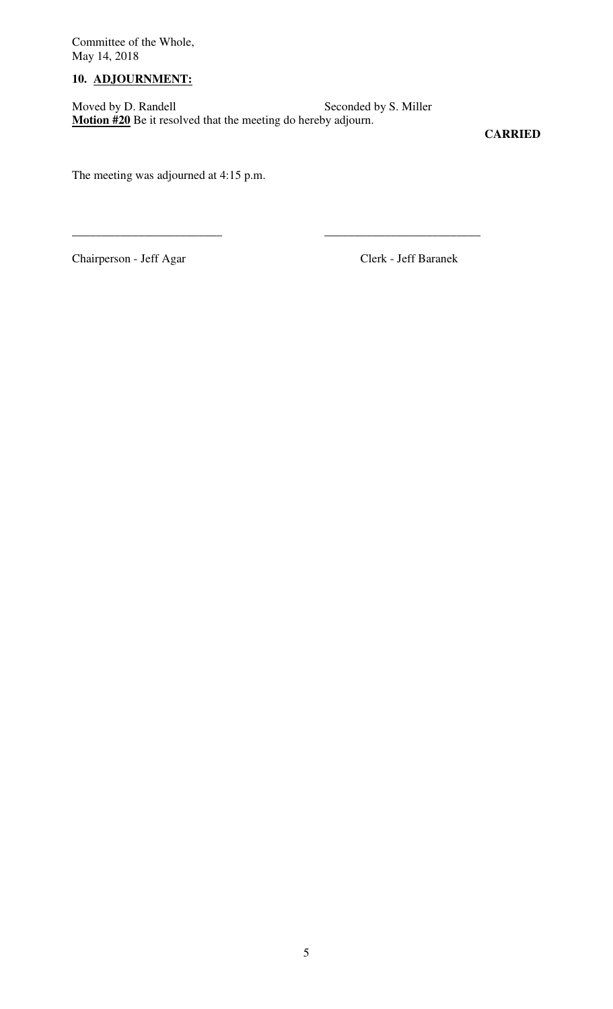# **10. ADJOURNMENT:**

Moved by D. Randell Seconded by S. Miller **Motion #20** Be it resolved that the meeting do hereby adjourn.

\_\_\_\_\_\_\_\_\_\_\_\_\_\_\_\_\_\_\_\_\_\_\_\_\_ \_\_\_\_\_\_\_\_\_\_\_\_\_\_\_\_\_\_\_\_\_\_\_\_\_\_

**CARRIED** 

The meeting was adjourned at 4:15 p.m.

Chairperson - Jeff Agar Clerk - Jeff Baranek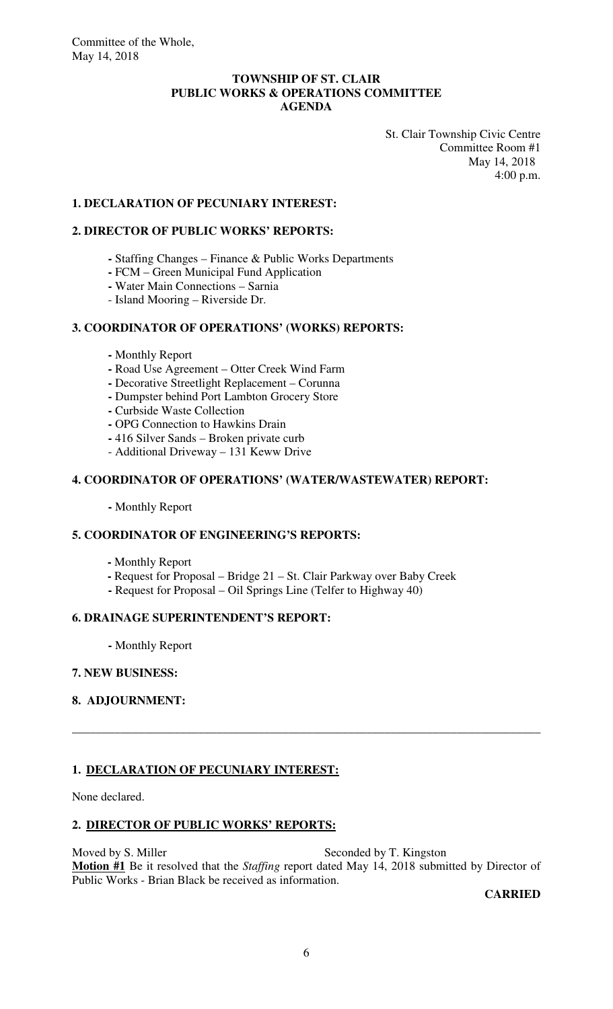#### **TOWNSHIP OF ST. CLAIR PUBLIC WORKS & OPERATIONS COMMITTEE AGENDA**

 St. Clair Township Civic Centre Committee Room #1 May 14, 2018 4:00 p.m.

#### **1. DECLARATION OF PECUNIARY INTEREST:**

#### **2. DIRECTOR OF PUBLIC WORKS' REPORTS:**

- **-** Staffing Changes Finance & Public Works Departments
- **-** FCM Green Municipal Fund Application
- **-** Water Main Connections Sarnia
- Island Mooring Riverside Dr.

### **3. COORDINATOR OF OPERATIONS' (WORKS) REPORTS:**

- Monthly Report
- **-** Road Use Agreement Otter Creek Wind Farm
- **-** Decorative Streetlight Replacement Corunna
- **-** Dumpster behind Port Lambton Grocery Store
- **-** Curbside Waste Collection
- **-** OPG Connection to Hawkins Drain
- **-** 416 Silver Sands Broken private curb
- Additional Driveway 131 Keww Drive

#### **4. COORDINATOR OF OPERATIONS' (WATER/WASTEWATER) REPORT:**

 **-** Monthly Report

#### **5. COORDINATOR OF ENGINEERING'S REPORTS:**

- **-** Monthly Report
- Request for Proposal Bridge 21 St. Clair Parkway over Baby Creek
- **-** Request for Proposal Oil Springs Line (Telfer to Highway 40)

#### **6. DRAINAGE SUPERINTENDENT'S REPORT:**

 **-** Monthly Report

#### **7. NEW BUSINESS:**

### **8. ADJOURNMENT:**

#### **1. DECLARATION OF PECUNIARY INTEREST:**

None declared.

#### **2. DIRECTOR OF PUBLIC WORKS' REPORTS:**

Moved by S. Miller Seconded by T. Kingston **Motion #1** Be it resolved that the *Staffing* report dated May 14, 2018 submitted by Director of Public Works - Brian Black be received as information.

\_\_\_\_\_\_\_\_\_\_\_\_\_\_\_\_\_\_\_\_\_\_\_\_\_\_\_\_\_\_\_\_\_\_\_\_\_\_\_\_\_\_\_\_\_\_\_\_\_\_\_\_\_\_\_\_\_\_\_\_\_\_\_\_\_\_\_\_\_\_\_\_\_\_\_\_\_\_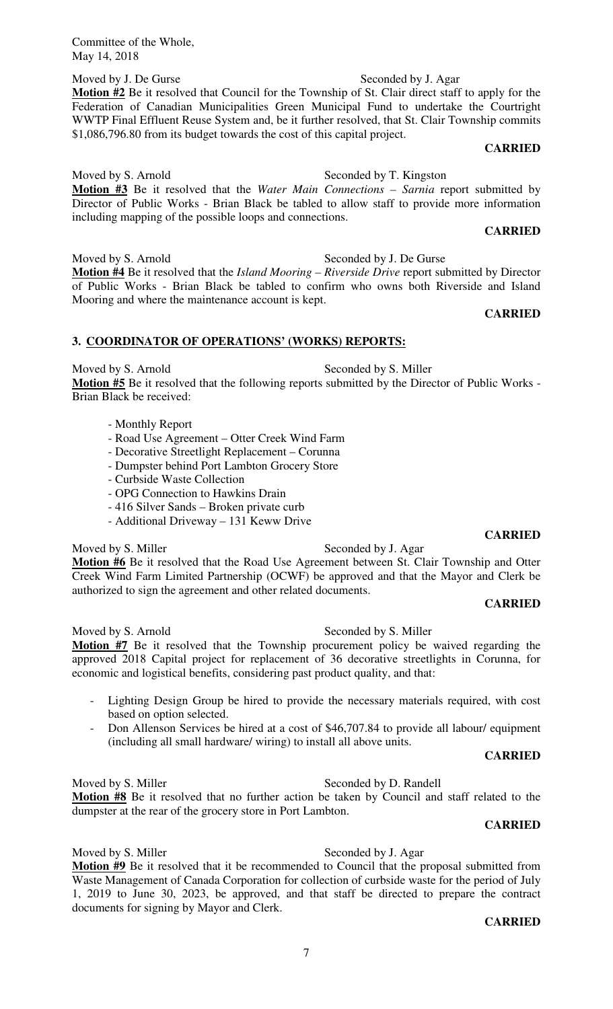Moved by J. De Gurse Seconded by J. Agar **Motion #2** Be it resolved that Council for the Township of St. Clair direct staff to apply for the Federation of Canadian Municipalities Green Municipal Fund to undertake the Courtright WWTP Final Effluent Reuse System and, be it further resolved, that St. Clair Township commits \$1,086,796.80 from its budget towards the cost of this capital project.

### **CARRIED**

Moved by S. Arnold Seconded by T. Kingston **Motion #3** Be it resolved that the *Water Main Connections – Sarnia* report submitted by Director of Public Works - Brian Black be tabled to allow staff to provide more information including mapping of the possible loops and connections.

#### **CARRIED**

Moved by S. Arnold Seconded by J. De Gurse **Motion #4** Be it resolved that the *Island Mooring – Riverside Drive* report submitted by Director of Public Works - Brian Black be tabled to confirm who owns both Riverside and Island Mooring and where the maintenance account is kept.

#### **CARRIED**

### **3. COORDINATOR OF OPERATIONS' (WORKS) REPORTS:**

Moved by S. Arnold Seconded by S. Miller **Motion #5** Be it resolved that the following reports submitted by the Director of Public Works - Brian Black be received:

- Monthly Report
- Road Use Agreement Otter Creek Wind Farm
- Decorative Streetlight Replacement Corunna
- Dumpster behind Port Lambton Grocery Store
- Curbside Waste Collection
- OPG Connection to Hawkins Drain
- 416 Silver Sands Broken private curb
- Additional Driveway 131 Keww Drive

# Moved by S. Miller Seconded by J. Agar **Motion #6** Be it resolved that the Road Use Agreement between St. Clair Township and Otter

Creek Wind Farm Limited Partnership (OCWF) be approved and that the Mayor and Clerk be authorized to sign the agreement and other related documents.

### **CARRIED**

**CARRIED** 

Moved by S. Arnold Seconded by S. Miller

#### **Motion #7** Be it resolved that the Township procurement policy be waived regarding the approved 2018 Capital project for replacement of 36 decorative streetlights in Corunna, for economic and logistical benefits, considering past product quality, and that:

- Lighting Design Group be hired to provide the necessary materials required, with cost based on option selected.
- Don Allenson Services be hired at a cost of \$46,707.84 to provide all labour/ equipment (including all small hardware/ wiring) to install all above units.

#### **CARRIED**

# Moved by S. Miller Seconded by D. Randell

**Motion #8** Be it resolved that no further action be taken by Council and staff related to the dumpster at the rear of the grocery store in Port Lambton.

#### **CARRIED**

# Moved by S. Miller Seconded by J. Agar

**Motion #9** Be it resolved that it be recommended to Council that the proposal submitted from Waste Management of Canada Corporation for collection of curbside waste for the period of July 1, 2019 to June 30, 2023, be approved, and that staff be directed to prepare the contract documents for signing by Mayor and Clerk.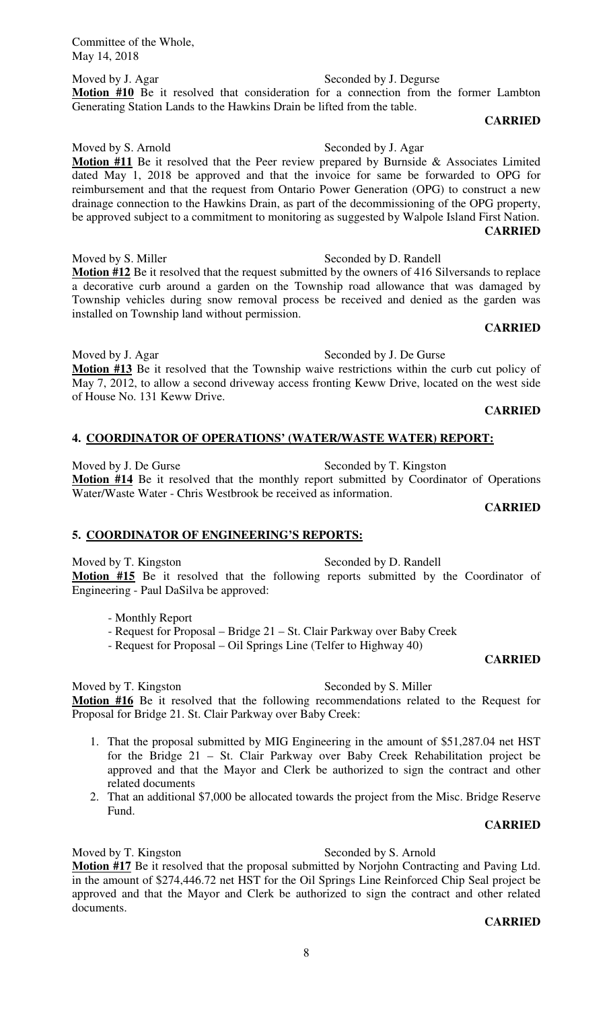Moved by J. Agar Seconded by J. Degurse Motion #10 Be it resolved that consideration for a connection from the former Lambton Generating Station Lands to the Hawkins Drain be lifted from the table.

**CARRIED** 

Moved by S. Arnold Seconded by J. Agar **Motion #11** Be it resolved that the Peer review prepared by Burnside & Associates Limited dated May 1, 2018 be approved and that the invoice for same be forwarded to OPG for reimbursement and that the request from Ontario Power Generation (OPG) to construct a new drainage connection to the Hawkins Drain, as part of the decommissioning of the OPG property, be approved subject to a commitment to monitoring as suggested by Walpole Island First Nation. **CARRIED** 

Moved by S. Miller Seconded by D. Randell **Motion #12** Be it resolved that the request submitted by the owners of 416 Silversands to replace a decorative curb around a garden on the Township road allowance that was damaged by Township vehicles during snow removal process be received and denied as the garden was installed on Township land without permission.

#### **CARRIED**

Moved by J. Agar Seconded by J. De Gurse **Motion #13** Be it resolved that the Township waive restrictions within the curb cut policy of May 7, 2012, to allow a second driveway access fronting Keww Drive, located on the west side of House No. 131 Keww Drive.

#### **CARRIED**

#### **4. COORDINATOR OF OPERATIONS' (WATER/WASTE WATER) REPORT:**

Moved by J. De Gurse Seconded by T. Kingston **Motion #14** Be it resolved that the monthly report submitted by Coordinator of Operations Water/Waste Water - Chris Westbrook be received as information.

#### **CARRIED**

#### **5. COORDINATOR OF ENGINEERING'S REPORTS:**

Moved by T. Kingston Seconded by D. Randell **Motion #15** Be it resolved that the following reports submitted by the Coordinator of Engineering - Paul DaSilva be approved:

- Monthly Report
- Request for Proposal Bridge 21 St. Clair Parkway over Baby Creek
- Request for Proposal Oil Springs Line (Telfer to Highway 40)

#### **CARRIED**

Moved by T. Kingston Seconded by S. Miller **Motion #16** Be it resolved that the following recommendations related to the Request for Proposal for Bridge 21. St. Clair Parkway over Baby Creek:

- 1. That the proposal submitted by MIG Engineering in the amount of \$51,287.04 net HST for the Bridge 21 – St. Clair Parkway over Baby Creek Rehabilitation project be approved and that the Mayor and Clerk be authorized to sign the contract and other related documents
- 2. That an additional \$7,000 be allocated towards the project from the Misc. Bridge Reserve Fund.

#### **CARRIED**

Moved by T. Kingston Seconded by S. Arnold

**Motion #17** Be it resolved that the proposal submitted by Norjohn Contracting and Paving Ltd. in the amount of \$274,446.72 net HST for the Oil Springs Line Reinforced Chip Seal project be approved and that the Mayor and Clerk be authorized to sign the contract and other related documents.